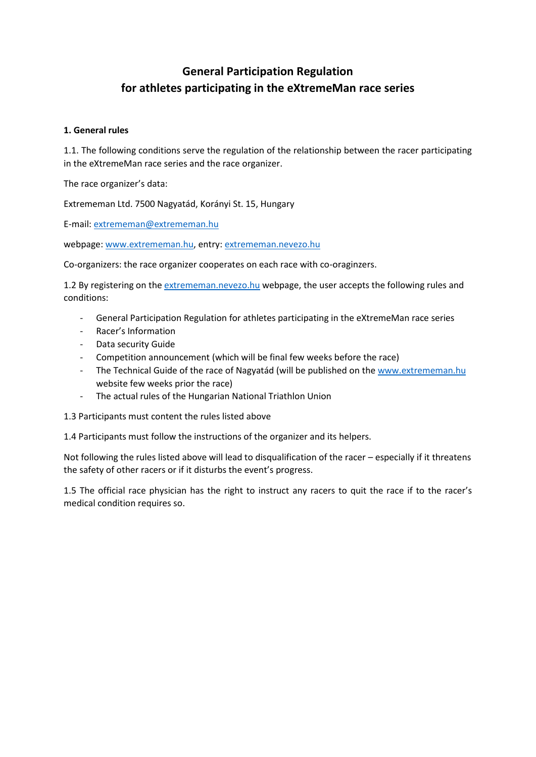# **General Participation Regulation for athletes participating in the eXtremeMan race series**

## **1. General rules**

1.1. The following conditions serve the regulation of the relationship between the racer participating in the eXtremeMan race series and the race organizer.

The race organizer's data:

Extrememan Ltd. 7500 Nagyatád, Korányi St. 15, Hungary

E-mail: [extrememan@extrememan.hu](mailto:extrememan@extrememan.hu)

webpage: [www.extrememan.hu,](http://www.extrememan.hu/) entry[: extrememan.nevezo.hu](http://www.extrememan.nevezo.hu/)

Co-organizers: the race organizer cooperates on each race with co-oraginzers.

1.2 By registering on th[e extrememan.nevezo.hu](http://www.extrememan.nevezo.hu/) webpage, the user accepts the following rules and conditions:

- General Participation Regulation for athletes participating in the eXtremeMan race series
- Racer's Information
- Data security Guide
- Competition announcement (which will be final few weeks before the race)
- The Technical Guide of the race of Nagyatád (will be published on the [www.extrememan.hu](http://www.extrememan.hu/) website few weeks prior the race)
- The actual rules of the Hungarian National Triathlon Union

1.3 Participants must content the rules listed above

1.4 Participants must follow the instructions of the organizer and its helpers.

Not following the rules listed above will lead to disqualification of the racer – especially if it threatens the safety of other racers or if it disturbs the event's progress.

1.5 The official race physician has the right to instruct any racers to quit the race if to the racer's medical condition requires so.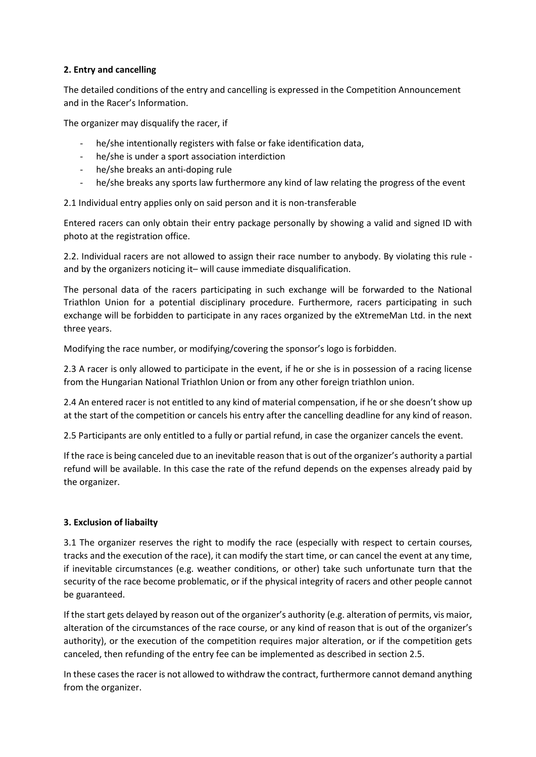## **2. Entry and cancelling**

The detailed conditions of the entry and cancelling is expressed in the Competition Announcement and in the Racer's Information.

The organizer may disqualify the racer, if

- he/she intentionally registers with false or fake identification data,
- he/she is under a sport association interdiction
- he/she breaks an anti-doping rule
- he/she breaks any sports law furthermore any kind of law relating the progress of the event

2.1 Individual entry applies only on said person and it is non-transferable

Entered racers can only obtain their entry package personally by showing a valid and signed ID with photo at the registration office.

2.2. Individual racers are not allowed to assign their race number to anybody. By violating this rule and by the organizers noticing it– will cause immediate disqualification.

The personal data of the racers participating in such exchange will be forwarded to the National Triathlon Union for a potential disciplinary procedure. Furthermore, racers participating in such exchange will be forbidden to participate in any races organized by the eXtremeMan Ltd. in the next three years.

Modifying the race number, or modifying/covering the sponsor's logo is forbidden.

2.3 A racer is only allowed to participate in the event, if he or she is in possession of a racing license from the Hungarian National Triathlon Union or from any other foreign triathlon union.

2.4 An entered racer is not entitled to any kind of material compensation, if he or she doesn't show up at the start of the competition or cancels his entry after the cancelling deadline for any kind of reason.

2.5 Participants are only entitled to a fully or partial refund, in case the organizer cancels the event.

If the race is being canceled due to an inevitable reason that is out of the organizer's authority a partial refund will be available. In this case the rate of the refund depends on the expenses already paid by the organizer.

## **3. Exclusion of liabailty**

3.1 The organizer reserves the right to modify the race (especially with respect to certain courses, tracks and the execution of the race), it can modify the start time, or can cancel the event at any time, if inevitable circumstances (e.g. weather conditions, or other) take such unfortunate turn that the security of the race become problematic, or if the physical integrity of racers and other people cannot be guaranteed.

If the start gets delayed by reason out of the organizer's authority (e.g. alteration of permits, vis maior, alteration of the circumstances of the race course, or any kind of reason that is out of the organizer's authority), or the execution of the competition requires major alteration, or if the competition gets canceled, then refunding of the entry fee can be implemented as described in section 2.5.

In these cases the racer is not allowed to withdraw the contract, furthermore cannot demand anything from the organizer.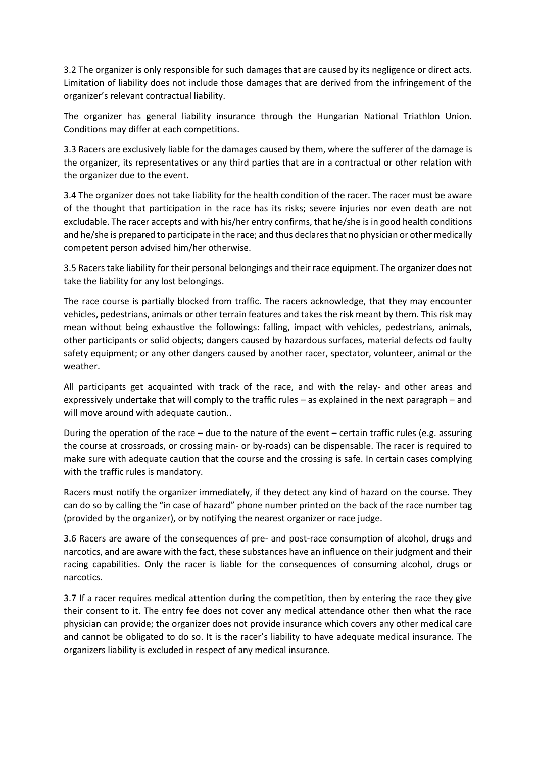3.2 The organizer is only responsible for such damages that are caused by its negligence or direct acts. Limitation of liability does not include those damages that are derived from the infringement of the organizer's relevant contractual liability.

The organizer has general liability insurance through the Hungarian National Triathlon Union. Conditions may differ at each competitions.

3.3 Racers are exclusively liable for the damages caused by them, where the sufferer of the damage is the organizer, its representatives or any third parties that are in a contractual or other relation with the organizer due to the event.

3.4 The organizer does not take liability for the health condition of the racer. The racer must be aware of the thought that participation in the race has its risks; severe injuries nor even death are not excludable. The racer accepts and with his/her entry confirms, that he/she is in good health conditions and he/she is prepared to participate in the race; and thus declares that no physician or other medically competent person advised him/her otherwise.

3.5 Racers take liability for their personal belongings and their race equipment. The organizer does not take the liability for any lost belongings.

The race course is partially blocked from traffic. The racers acknowledge, that they may encounter vehicles, pedestrians, animals or other terrain features and takes the risk meant by them. This risk may mean without being exhaustive the followings: falling, impact with vehicles, pedestrians, animals, other participants or solid objects; dangers caused by hazardous surfaces, material defects od faulty safety equipment; or any other dangers caused by another racer, spectator, volunteer, animal or the weather.

All participants get acquainted with track of the race, and with the relay- and other areas and expressively undertake that will comply to the traffic rules – as explained in the next paragraph – and will move around with adequate caution..

During the operation of the race – due to the nature of the event – certain traffic rules (e.g. assuring the course at crossroads, or crossing main- or by-roads) can be dispensable. The racer is required to make sure with adequate caution that the course and the crossing is safe. In certain cases complying with the traffic rules is mandatory.

Racers must notify the organizer immediately, if they detect any kind of hazard on the course. They can do so by calling the "in case of hazard" phone number printed on the back of the race number tag (provided by the organizer), or by notifying the nearest organizer or race judge.

3.6 Racers are aware of the consequences of pre- and post-race consumption of alcohol, drugs and narcotics, and are aware with the fact, these substances have an influence on their judgment and their racing capabilities. Only the racer is liable for the consequences of consuming alcohol, drugs or narcotics.

3.7 If a racer requires medical attention during the competition, then by entering the race they give their consent to it. The entry fee does not cover any medical attendance other then what the race physician can provide; the organizer does not provide insurance which covers any other medical care and cannot be obligated to do so. It is the racer's liability to have adequate medical insurance. The organizers liability is excluded in respect of any medical insurance.